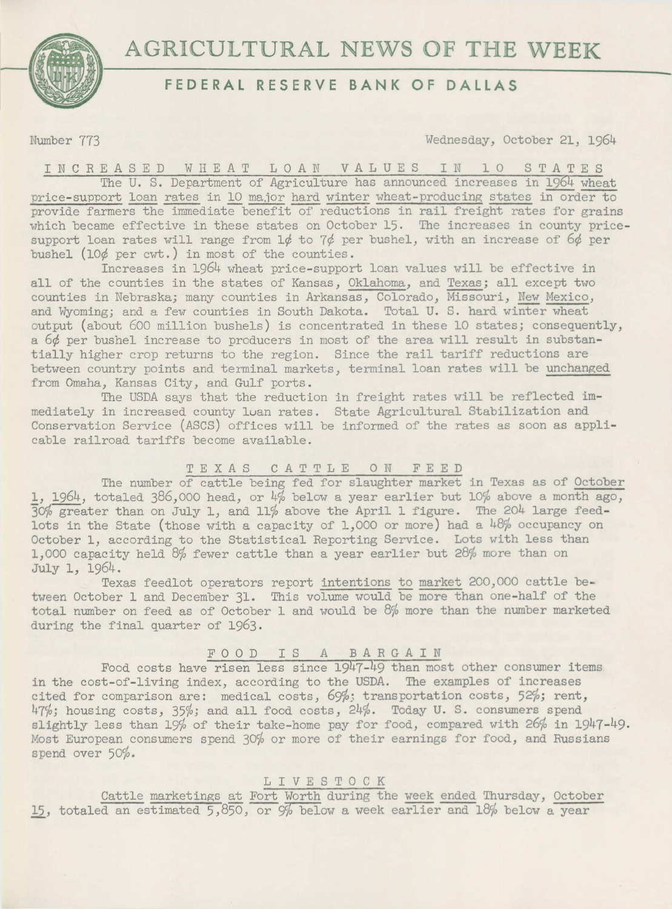**AGRICULTURAL NEWS OF THE WEEK** 



# **FEDERAL RESERVE BANK OF DALLAS**

Number 773 Wednesday, October 21, 1964

INCREASED WHEAT LOAN VALUES IN 10 STATES The U. S. Department of Agriculture has announced increases in 1964 wheat price-support loan rates in 10 major hard winter wheat-producing states in order to provide farmers the immediate benefit of reductions in rail freight rates for grains which became effective in these states on October 15. The increases in county pricesupport loan rates will range from  $1\phi$  to  $7\phi$  per bushel, with an increase of  $6\phi$  per bushel (10¢ per cwt.) in most of the counties.

Increases in 1964 wheat price-support loan values will be effective in all of the counties in the states of Kansas, Oklahoma, and Texas; all except two counties in Nebraska; many counties in Arkansas, Colorado, Missouri, New Mexico, and Wyoming; and a few counties in South Dakota. Total U. S. hard winter wheat output (about 600 million bushels) is concentrated in these 10 states; consequently, a 6¢ per bushel increase to producers in most of the area will result in substantially higher crop returns to the region. Since the rail tariff reductions are between country points and terminal markets, terminal loan rates will be unchanged from Omaha, Kansas City, and Gulf ports.

The USDA says that the reduction in freight rates will be reflected immediately in increased county luan rates. State Agricultural Stabilization and Conservation Service (ASCS) offices will be informed of the rates as soon as applicable railroad tariffs become available.

### TEXAS CATTLE 0 N FEED

The number of cattle being fed for slaughter market in Texas as of October 1, 1964, totaled 386,000 head, or 4% below a year earlier but 10% above a month ago, 3c% greater than on July 1, and 11% above the April 1 figure. The 204 large feedlots in the State (those with a capacity of 1,000 or more) had a 48% occupancy on October 1, according to the Statistical Reporting Service. Lots with less than 1,000 capacity held 8% fewer cattle than a year earlier but 28% more than on July 1, 1964.

Texas feedlot operators report intentions to market 200,000 cattle between October 1 and December 31. This volume would be more than one-half of the total number on feed as of October 1 and would be 8% more than the number marketed during the final quarter of 1963.

## FOOD IS A BARGAIN

Food costs have risen less since 1947-49 than most other consumer items in the cost-of-living index, according to the USDA. The examples of increases cited for comparison are: medical costs, *69%)* transportation costs, 52%; rent, 47%; housing costs, 35%; and all food costs, 24%. Today U. S. consumers spend slightly less than 19% of their take-home pay for food, compared with 26% in 1947-49. Most European consumers spend 30% or more of their earnings for food, and Russians spend over 50%.

### L I V E S T 0 C K

Cattle marketings at Fort Worth during the week ended Thursday, October 15, totaled an estimated 5,850, or 9% below a week earlier and 18% below a year